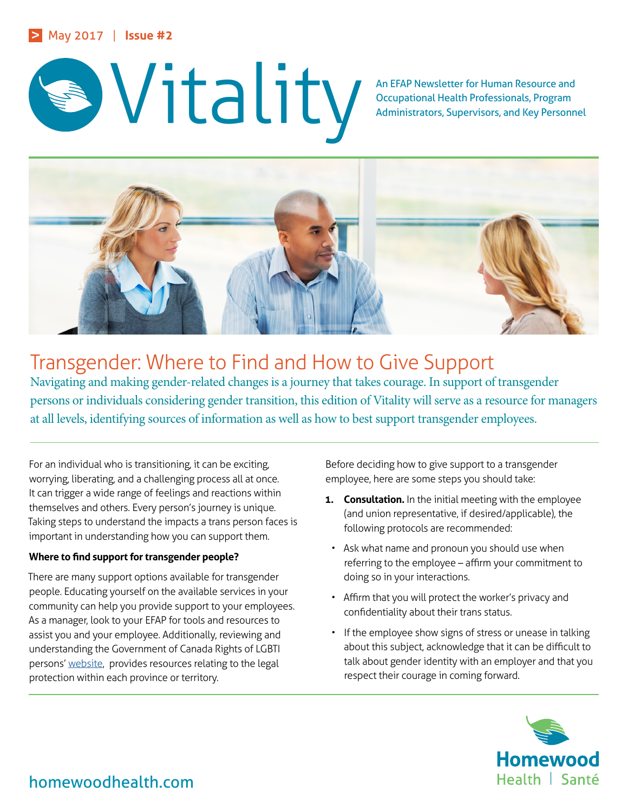



Occupational Health Professionals, Program Administrators, Supervisors, and Key Personnel



# Transgender: Where to Find and How to Give Support

Navigating and making gender-related changes is a journey that takes courage. In support of transgender persons or individuals considering gender transition, this edition of Vitality will serve as a resource for managers at all levels, identifying sources of information as well as how to best support transgender employees.

For an individual who is transitioning, it can be exciting, worrying, liberating, and a challenging process all at once. It can trigger a wide range of feelings and reactions within themselves and others. Every person's journey is unique. Taking steps to understand the impacts a trans person faces is important in understanding how you can support them.

## **Where to find support for transgender people?**

There are many support options available for transgender people. Educating yourself on the available services in your community can help you provide support to your employees. As a manager, look to your EFAP for tools and resources to assist you and your employee. Additionally, reviewing and understanding the Government of Canada Rights of LGBTI persons' [website,](http://www.canada.pch.gc.ca/eng/1448633333972) provides resources relating to the legal protection within each province or territory.

Before deciding how to give support to a transgender employee, here are some steps you should take:

- **1. Consultation.** In the initial meeting with the employee (and union representative, if desired/applicable), the following protocols are recommended:
- Ask what name and pronoun you should use when referring to the employee – affirm your commitment to doing so in your interactions.
- Affirm that you will protect the worker's privacy and confidentiality about their trans status.
- If the employee show signs of stress or unease in talking about this subject, acknowledge that it can be difficult to talk about gender identity with an employer and that you respect their courage in coming forward.



homewoodhealth.com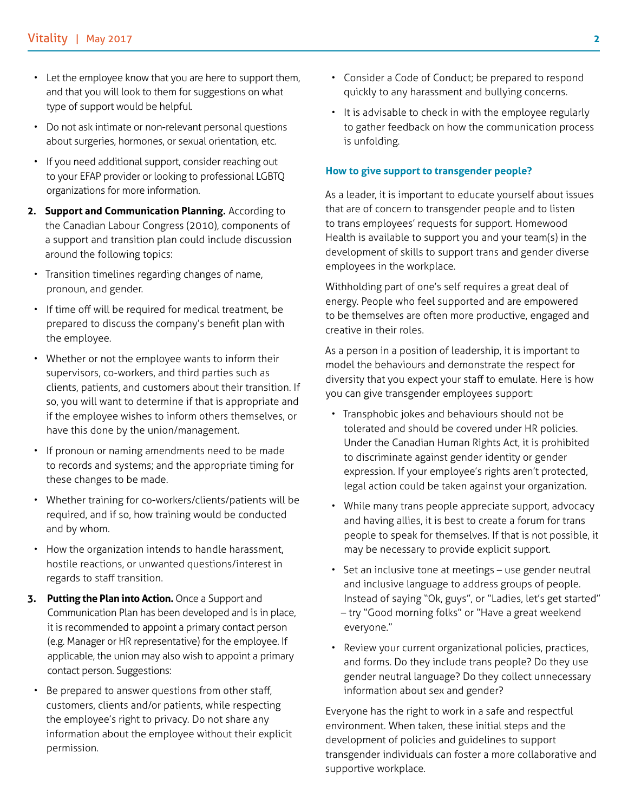- Let the employee know that you are here to support them, and that you will look to them for suggestions on what type of support would be helpful.
- Do not ask intimate or non-relevant personal questions about surgeries, hormones, or sexual orientation, etc.
- If you need additional support, consider reaching out to your EFAP provider or looking to professional LGBTQ organizations for more information.
- **2. Support and Communication Planning.** According to the Canadian Labour Congress (2010), components of a support and transition plan could include discussion around the following topics:
- Transition timelines regarding changes of name, pronoun, and gender.
- If time off will be required for medical treatment, be prepared to discuss the company's benefit plan with the employee.
- Whether or not the employee wants to inform their supervisors, co-workers, and third parties such as clients, patients, and customers about their transition. If so, you will want to determine if that is appropriate and if the employee wishes to inform others themselves, or have this done by the union/management.
- If pronoun or naming amendments need to be made to records and systems; and the appropriate timing for these changes to be made.
- Whether training for co-workers/clients/patients will be required, and if so, how training would be conducted and by whom.
- How the organization intends to handle harassment, hostile reactions, or unwanted questions/interest in regards to staff transition.
- **3. Putting the Plan into Action.** Once a Support and Communication Plan has been developed and is in place, it is recommended to appoint a primary contact person (e.g. Manager or HR representative) for the employee. If applicable, the union may also wish to appoint a primary contact person. Suggestions:
- Be prepared to answer questions from other staff, customers, clients and/or patients, while respecting the employee's right to privacy. Do not share any information about the employee without their explicit permission.
- Consider a Code of Conduct; be prepared to respond quickly to any harassment and bullying concerns.
- It is advisable to check in with the employee regularly to gather feedback on how the communication process is unfolding.

### **How to give support to transgender people?**

As a leader, it is important to educate yourself about issues that are of concern to transgender people and to listen to trans employees' requests for support. Homewood Health is available to support you and your team(s) in the development of skills to support trans and gender diverse employees in the workplace.

Withholding part of one's self requires a great deal of energy. People who feel supported and are empowered to be themselves are often more productive, engaged and creative in their roles.

As a person in a position of leadership, it is important to model the behaviours and demonstrate the respect for diversity that you expect your staff to emulate. Here is how you can give transgender employees support:

- Transphobic jokes and behaviours should not be tolerated and should be covered under HR policies. Under the Canadian Human Rights Act, it is prohibited to discriminate against gender identity or gender expression. If your employee's rights aren't protected, legal action could be taken against your organization.
- While many trans people appreciate support, advocacy and having allies, it is best to create a forum for trans people to speak for themselves. If that is not possible, it may be necessary to provide explicit support.
- Set an inclusive tone at meetings use gender neutral and inclusive language to address groups of people. Instead of saying "Ok, guys", or "Ladies, let's get started" – try "Good morning folks" or "Have a great weekend everyone."
- Review your current organizational policies, practices, and forms. Do they include trans people? Do they use gender neutral language? Do they collect unnecessary information about sex and gender?

Everyone has the right to work in a safe and respectful environment. When taken, these initial steps and the development of policies and guidelines to support transgender individuals can foster a more collaborative and supportive workplace.